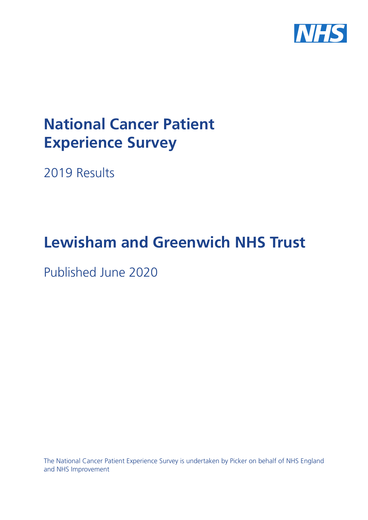

# **National Cancer Patient Experience Survey**

2019 Results

# **Lewisham and Greenwich NHS Trust**

Published June 2020

The National Cancer Patient Experience Survey is undertaken by Picker on behalf of NHS England and NHS Improvement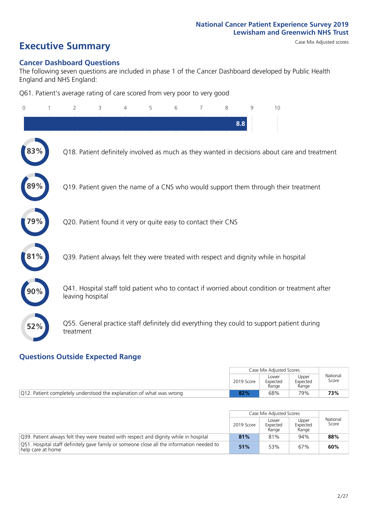# **Executive Summary** Case Mix Adjusted scores

### **Cancer Dashboard Questions**

The following seven questions are included in phase 1 of the Cancer Dashboard developed by Public Health England and NHS England:

Q61. Patient's average rating of care scored from very poor to very good

| 0   | $\overline{2}$                                                | 3 | $\overline{4}$ | 5 | 6 | $\overline{7}$ | 8   | 9 | 10                                                                                            |
|-----|---------------------------------------------------------------|---|----------------|---|---|----------------|-----|---|-----------------------------------------------------------------------------------------------|
|     |                                                               |   |                |   |   |                | 8.8 |   |                                                                                               |
|     |                                                               |   |                |   |   |                |     |   | Q18. Patient definitely involved as much as they wanted in decisions about care and treatment |
|     |                                                               |   |                |   |   |                |     |   | Q19. Patient given the name of a CNS who would support them through their treatment           |
| '9% | Q20. Patient found it very or quite easy to contact their CNS |   |                |   |   |                |     |   |                                                                                               |
|     |                                                               |   |                |   |   |                |     |   | Q39. Patient always felt they were treated with respect and dignity while in hospital         |
|     | leaving hospital                                              |   |                |   |   |                |     |   | Q41. Hospital staff told patient who to contact if worried about condition or treatment after |
| 52% | treatment                                                     |   |                |   |   |                |     |   | Q55. General practice staff definitely did everything they could to support patient during    |

### **Questions Outside Expected Range**

|                                                                       |            | Case Mix Adiusted Scores   |                            |                   |
|-----------------------------------------------------------------------|------------|----------------------------|----------------------------|-------------------|
|                                                                       | 2019 Score | Lower<br>Expected<br>Range | Upper<br>Expected<br>Range | National<br>Score |
| [Q12. Patient completely understood the explanation of what was wrong | 82%        | 68%                        | 79%                        | 73%               |

|                                                                                                                |            | Case Mix Adjusted Scores   |                                          |                   |
|----------------------------------------------------------------------------------------------------------------|------------|----------------------------|------------------------------------------|-------------------|
|                                                                                                                | 2019 Score | Lower<br>Expected<br>Range | Upper<br>Expected<br>Range<br>94%<br>67% | National<br>Score |
| Q39. Patient always felt they were treated with respect and dignity while in hospital                          | 81%        | 81%                        |                                          | 88%               |
| Q51. Hospital staff definitely gave family or someone close all the information needed to<br>help care at home | 51%        | 53%                        |                                          | 60%               |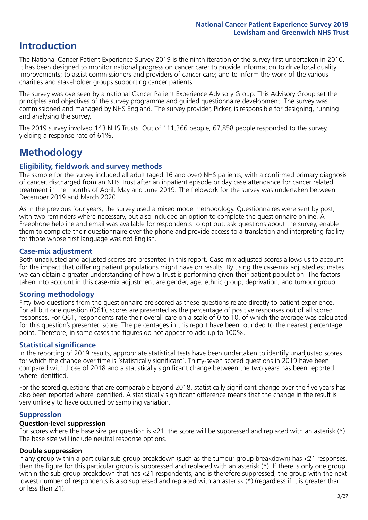## **Introduction**

The National Cancer Patient Experience Survey 2019 is the ninth iteration of the survey first undertaken in 2010. It has been designed to monitor national progress on cancer care; to provide information to drive local quality improvements; to assist commissioners and providers of cancer care; and to inform the work of the various charities and stakeholder groups supporting cancer patients.

The survey was overseen by a national Cancer Patient Experience Advisory Group. This Advisory Group set the principles and objectives of the survey programme and guided questionnaire development. The survey was commissioned and managed by NHS England. The survey provider, Picker, is responsible for designing, running and analysing the survey.

The 2019 survey involved 143 NHS Trusts. Out of 111,366 people, 67,858 people responded to the survey, yielding a response rate of 61%.

# **Methodology**

### **Eligibility, eldwork and survey methods**

The sample for the survey included all adult (aged 16 and over) NHS patients, with a confirmed primary diagnosis of cancer, discharged from an NHS Trust after an inpatient episode or day case attendance for cancer related treatment in the months of April, May and June 2019. The fieldwork for the survey was undertaken between December 2019 and March 2020.

As in the previous four years, the survey used a mixed mode methodology. Questionnaires were sent by post, with two reminders where necessary, but also included an option to complete the questionnaire online. A Freephone helpline and email was available for respondents to opt out, ask questions about the survey, enable them to complete their questionnaire over the phone and provide access to a translation and interpreting facility for those whose first language was not English.

### **Case-mix adjustment**

Both unadjusted and adjusted scores are presented in this report. Case-mix adjusted scores allows us to account for the impact that differing patient populations might have on results. By using the case-mix adjusted estimates we can obtain a greater understanding of how a Trust is performing given their patient population. The factors taken into account in this case-mix adjustment are gender, age, ethnic group, deprivation, and tumour group.

### **Scoring methodology**

Fifty-two questions from the questionnaire are scored as these questions relate directly to patient experience. For all but one question (Q61), scores are presented as the percentage of positive responses out of all scored responses. For Q61, respondents rate their overall care on a scale of 0 to 10, of which the average was calculated for this question's presented score. The percentages in this report have been rounded to the nearest percentage point. Therefore, in some cases the figures do not appear to add up to 100%.

### **Statistical significance**

In the reporting of 2019 results, appropriate statistical tests have been undertaken to identify unadjusted scores for which the change over time is 'statistically significant'. Thirty-seven scored questions in 2019 have been compared with those of 2018 and a statistically significant change between the two years has been reported where identified.

For the scored questions that are comparable beyond 2018, statistically significant change over the five years has also been reported where identified. A statistically significant difference means that the change in the result is very unlikely to have occurred by sampling variation.

### **Suppression**

### **Question-level suppression**

For scores where the base size per question is  $<$ 21, the score will be suppressed and replaced with an asterisk (\*). The base size will include neutral response options.

### **Double suppression**

If any group within a particular sub-group breakdown (such as the tumour group breakdown) has <21 responses, then the figure for this particular group is suppressed and replaced with an asterisk (\*). If there is only one group within the sub-group breakdown that has <21 respondents, and is therefore suppressed, the group with the next lowest number of respondents is also supressed and replaced with an asterisk (\*) (regardless if it is greater than or less than 21).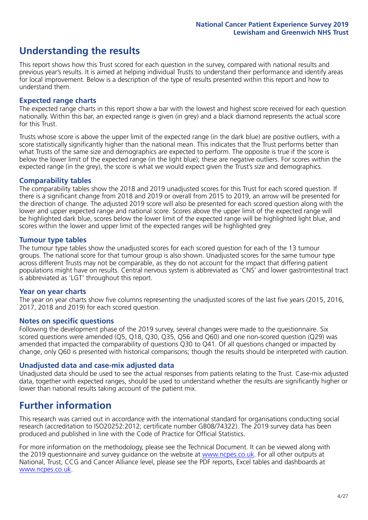# **Understanding the results**

This report shows how this Trust scored for each question in the survey, compared with national results and previous year's results. It is aimed at helping individual Trusts to understand their performance and identify areas for local improvement. Below is a description of the type of results presented within this report and how to understand them.

### **Expected range charts**

The expected range charts in this report show a bar with the lowest and highest score received for each question nationally. Within this bar, an expected range is given (in grey) and a black diamond represents the actual score for this Trust.

Trusts whose score is above the upper limit of the expected range (in the dark blue) are positive outliers, with a score statistically significantly higher than the national mean. This indicates that the Trust performs better than what Trusts of the same size and demographics are expected to perform. The opposite is true if the score is below the lower limit of the expected range (in the light blue); these are negative outliers. For scores within the expected range (in the grey), the score is what we would expect given the Trust's size and demographics.

### **Comparability tables**

The comparability tables show the 2018 and 2019 unadjusted scores for this Trust for each scored question. If there is a significant change from 2018 and 2019 or overall from 2015 to 2019, an arrow will be presented for the direction of change. The adjusted 2019 score will also be presented for each scored question along with the lower and upper expected range and national score. Scores above the upper limit of the expected range will be highlighted dark blue, scores below the lower limit of the expected range will be highlighted light blue, and scores within the lower and upper limit of the expected ranges will be highlighted grey.

### **Tumour type tables**

The tumour type tables show the unadjusted scores for each scored question for each of the 13 tumour groups. The national score for that tumour group is also shown. Unadjusted scores for the same tumour type across different Trusts may not be comparable, as they do not account for the impact that differing patient populations might have on results. Central nervous system is abbreviated as 'CNS' and lower gastrointestinal tract is abbreviated as 'LGT' throughout this report.

### **Year on year charts**

The year on year charts show five columns representing the unadjusted scores of the last five years (2015, 2016, 2017, 2018 and 2019) for each scored question.

### **Notes on specific questions**

Following the development phase of the 2019 survey, several changes were made to the questionnaire. Six scored questions were amended (Q5, Q18, Q30, Q35, Q56 and Q60) and one non-scored question (Q29) was amended that impacted the comparability of questions Q30 to Q41. Of all questions changed or impacted by change, only Q60 is presented with historical comparisons; though the results should be interpreted with caution.

### **Unadjusted data and case-mix adjusted data**

Unadjusted data should be used to see the actual responses from patients relating to the Trust. Case-mix adjusted data, together with expected ranges, should be used to understand whether the results are significantly higher or lower than national results taking account of the patient mix.

### **Further information**

This research was carried out in accordance with the international standard for organisations conducting social research (accreditation to ISO20252:2012; certificate number GB08/74322). The 2019 survey data has been produced and published in line with the Code of Practice for Official Statistics.

For more information on the methodology, please see the Technical Document. It can be viewed along with the 2019 questionnaire and survey quidance on the website at [www.ncpes.co.uk](https://www.ncpes.co.uk/supporting-documents). For all other outputs at National, Trust, CCG and Cancer Alliance level, please see the PDF reports, Excel tables and dashboards at [www.ncpes.co.uk.](https://www.ncpes.co.uk/current-results)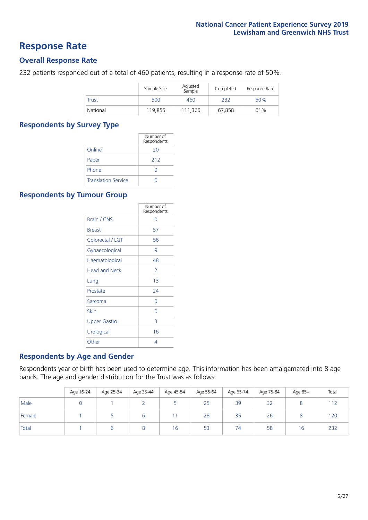### **Response Rate**

### **Overall Response Rate**

232 patients responded out of a total of 460 patients, resulting in a response rate of 50%.

|              | Sample Size | Adjusted<br>Sample | Completed | Response Rate |
|--------------|-------------|--------------------|-----------|---------------|
| <b>Trust</b> | 500         | 460                | 232       | 50%           |
| National     | 119,855     | 111.366            | 67,858    | 61%           |

### **Respondents by Survey Type**

|                            | Number of<br>Respondents |
|----------------------------|--------------------------|
| Online                     | 20                       |
| Paper                      | 212                      |
| Phone                      |                          |
| <b>Translation Service</b> |                          |

### **Respondents by Tumour Group**

|                      | Number of<br>Respondents |
|----------------------|--------------------------|
| <b>Brain / CNS</b>   | ∩                        |
| <b>Breast</b>        | 57                       |
| Colorectal / LGT     | 56                       |
| Gynaecological       | 9                        |
| Haematological       | 48                       |
| <b>Head and Neck</b> | $\overline{\phantom{a}}$ |
| Lung                 | 1 <sub>3</sub>           |
| Prostate             | 24                       |
| Sarcoma              | Ω                        |
| Skin                 | Ω                        |
| <b>Upper Gastro</b>  | 3                        |
| Urological           | 16                       |
| Other                | 4                        |

### **Respondents by Age and Gender**

Respondents year of birth has been used to determine age. This information has been amalgamated into 8 age bands. The age and gender distribution for the Trust was as follows:

|        | Age 16-24 | Age 25-34 | Age 35-44 | Age 45-54 | Age 55-64 | Age 65-74 | Age 75-84 | Age 85+ | Total |
|--------|-----------|-----------|-----------|-----------|-----------|-----------|-----------|---------|-------|
| Male   |           |           |           |           | 25        | 39        | 32        |         | 112   |
| Female |           |           | b         |           | 28        | 35        | 26        |         | 120   |
| Total  |           |           |           | 16        | 53        | 74        | 58        | 16      | 232   |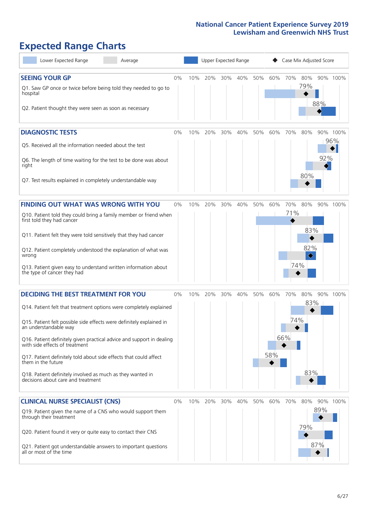# **Expected Range Charts**

| Lower Expected Range<br>Average                                                                                                                                                                                                                                                                                                                                                                                                                                                                                             |       |     | Upper Expected Range |     |     |     |            |                   | Case Mix Adjusted Score |                   |                 |
|-----------------------------------------------------------------------------------------------------------------------------------------------------------------------------------------------------------------------------------------------------------------------------------------------------------------------------------------------------------------------------------------------------------------------------------------------------------------------------------------------------------------------------|-------|-----|----------------------|-----|-----|-----|------------|-------------------|-------------------------|-------------------|-----------------|
| <b>SEEING YOUR GP</b><br>Q1. Saw GP once or twice before being told they needed to go to<br>hospital<br>Q2. Patient thought they were seen as soon as necessary                                                                                                                                                                                                                                                                                                                                                             | $0\%$ | 10% | 20%                  | 30% | 40% | 50% | 60%        | 70%               | 80%<br>79%              | 88%               | 90% 100%        |
| <b>DIAGNOSTIC TESTS</b><br>Q5. Received all the information needed about the test<br>Q6. The length of time waiting for the test to be done was about<br>right<br>Q7. Test results explained in completely understandable way                                                                                                                                                                                                                                                                                               | $0\%$ | 10% | 20%                  | 30% | 40% | 50% | 60%        | 70%               | 80%<br>80%              | 92%               | 90% 100%<br>96% |
| <b>FINDING OUT WHAT WAS WRONG WITH YOU</b><br>Q10. Patient told they could bring a family member or friend when<br>first told they had cancer<br>Q11. Patient felt they were told sensitively that they had cancer<br>Q12. Patient completely understood the explanation of what was<br>wrong<br>Q13. Patient given easy to understand written information about<br>the type of cancer they had                                                                                                                             | $0\%$ | 10% | 20%                  | 30% | 40% | 50% | 60%        | 70%<br>71%<br>74% | 80%<br>83%<br>82%<br>♦  |                   | 90% 100%        |
| <b>DECIDING THE BEST TREATMENT FOR YOU</b><br>Q14. Patient felt that treatment options were completely explained<br>Q15. Patient felt possible side effects were definitely explained in<br>an understandable way<br>Q16. Patient definitely given practical advice and support in dealing<br>with side effects of treatment<br>Q17. Patient definitely told about side effects that could affect<br>them in the future<br>Q18. Patient definitely involved as much as they wanted in<br>decisions about care and treatment | $0\%$ | 10% | 20%                  | 30% | 40% | 50% | 60%<br>58% | 70%<br>74%<br>66% | 80%<br>83%<br>83%       |                   | 90% 100%        |
| <b>CLINICAL NURSE SPECIALIST (CNS)</b><br>Q19. Patient given the name of a CNS who would support them<br>through their treatment<br>Q20. Patient found it very or quite easy to contact their CNS<br>Q21. Patient got understandable answers to important questions<br>all or most of the time                                                                                                                                                                                                                              | $0\%$ |     | 10% 20%              | 30% | 40% | 50% | 60%        | 70%               | 80%<br>79%              | 90%<br>89%<br>87% | 100%            |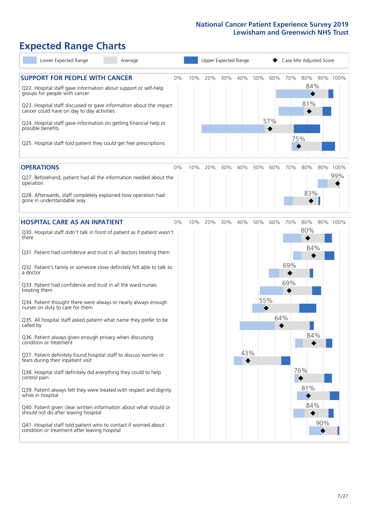# **Expected Range Charts**

| Lower Expected Range                                                                                                                                                                                                                                                                                                                                                                                                                                                                                                                                                                                                                                                                                                                                                                                                                                                                                                                                                                                                 | Average |     |     | Upper Expected Range |            |                   |                          | Case Mix Adjusted Score                       |             |
|----------------------------------------------------------------------------------------------------------------------------------------------------------------------------------------------------------------------------------------------------------------------------------------------------------------------------------------------------------------------------------------------------------------------------------------------------------------------------------------------------------------------------------------------------------------------------------------------------------------------------------------------------------------------------------------------------------------------------------------------------------------------------------------------------------------------------------------------------------------------------------------------------------------------------------------------------------------------------------------------------------------------|---------|-----|-----|----------------------|------------|-------------------|--------------------------|-----------------------------------------------|-------------|
| <b>SUPPORT FOR PEOPLE WITH CANCER</b><br>Q22. Hospital staff gave information about support or self-help<br>groups for people with cancer<br>Q23. Hospital staff discussed or gave information about the impact<br>cancer could have on day to day activities<br>Q24. Hospital staff gave information on getting financial help or<br>possible benefits<br>Q25. Hospital staff told patient they could get free prescriptions                                                                                                                                                                                                                                                                                                                                                                                                                                                                                                                                                                                        | $0\%$   | 10% | 20% | 30%                  | 40%        | 50%<br>60%<br>57% | 70%<br>75%               | 80%<br>84%<br>81%                             | 90% 100%    |
| <b>OPERATIONS</b><br>Q27. Beforehand, patient had all the information needed about the<br>operation<br>Q28. Afterwards, staff completely explained how operation had<br>gone in understandable way                                                                                                                                                                                                                                                                                                                                                                                                                                                                                                                                                                                                                                                                                                                                                                                                                   | 0%      | 10% | 20% | 30%                  | 40%        | 50%<br>60%        | 70%                      | 80%<br>90%<br>83%                             | 100%<br>99% |
| <b>HOSPITAL CARE AS AN INPATIENT</b><br>Q30. Hospital staff didn't talk in front of patient as if patient wasn't<br>there<br>Q31. Patient had confidence and trust in all doctors treating them<br>Q32. Patient's family or someone close definitely felt able to talk to<br>a doctor<br>Q33. Patient had confidence and trust in all the ward nurses<br>treating them<br>Q34. Patient thought there were always or nearly always enough<br>nurses on duty to care for them<br>Q35. All hospital staff asked patient what name they prefer to be<br>called by<br>Q36. Patient always given enough privacy when discussing<br>condition or treatment<br>Q37. Patient definitely found hospital staff to discuss worries or<br>fears during their inpatient visit<br>Q38. Hospital staff definitely did everything they could to help<br>control pain<br>Q39. Patient always felt they were treated with respect and dignity<br>while in hospital<br>Q40. Patient given clear written information about what should or | $0\%$   | 10% | 20% | 30%                  | 40%<br>43% | 50%<br>60%<br>55% | 70%<br>69%<br>69%<br>64% | 80%<br>80%<br>84%<br>84%<br>76%<br>81%<br>84% | 90% 100%    |
| should not do after leaving hospital<br>Q41. Hospital staff told patient who to contact if worried about<br>condition or treatment after leaving hospital                                                                                                                                                                                                                                                                                                                                                                                                                                                                                                                                                                                                                                                                                                                                                                                                                                                            |         |     |     |                      |            |                   |                          | 90%                                           |             |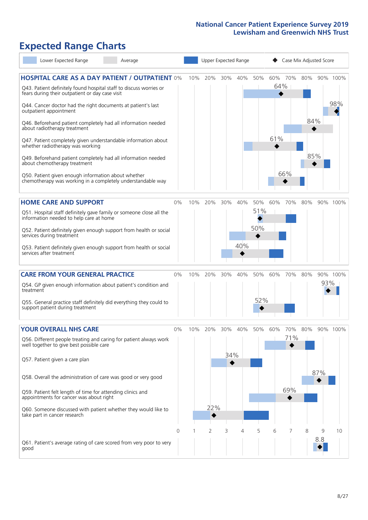# **Expected Range Charts**

|           | Lower Expected Range                                                                                                                                                                                                                                                                                                                                                                                                                                                                                                                                                                                                                                                                                   | Average |         |     |                 | Upper Expected Range |            |                   |                   |                   |                   | Case Mix Adjusted Score |                 |  |
|-----------|--------------------------------------------------------------------------------------------------------------------------------------------------------------------------------------------------------------------------------------------------------------------------------------------------------------------------------------------------------------------------------------------------------------------------------------------------------------------------------------------------------------------------------------------------------------------------------------------------------------------------------------------------------------------------------------------------------|---------|---------|-----|-----------------|----------------------|------------|-------------------|-------------------|-------------------|-------------------|-------------------------|-----------------|--|
|           | <b>HOSPITAL CARE AS A DAY PATIENT / OUTPATIENT 0%</b><br>Q43. Patient definitely found hospital staff to discuss worries or<br>fears during their outpatient or day case visit<br>Q44. Cancer doctor had the right documents at patient's last<br>outpatient appointment<br>Q46. Beforehand patient completely had all information needed<br>about radiotherapy treatment<br>Q47. Patient completely given understandable information about<br>whether radiotherapy was working<br>Q49. Beforehand patient completely had all information needed<br>about chemotherapy treatment<br>Q50. Patient given enough information about whether<br>chemotherapy was working in a completely understandable way |         |         | 10% | 20%             | 30%                  | 40%        | 50%               | 60%<br>64%<br>61% | 70%<br>66%        | 80%<br>84%<br>85% |                         | 90% 100%<br>98% |  |
|           | <b>HOME CARE AND SUPPORT</b><br>Q51. Hospital staff definitely gave family or someone close all the<br>information needed to help care at home<br>Q52. Patient definitely given enough support from health or social<br>services during treatment<br>Q53. Patient definitely given enough support from health or social<br>services after treatment                                                                                                                                                                                                                                                                                                                                                    |         | 0%      | 10% | 20%             | 30%                  | 40%<br>40% | 50%<br>51%<br>50% | 60%               | 70%               | 80%               |                         | 90% 100%        |  |
| treatment | <b>CARE FROM YOUR GENERAL PRACTICE</b><br>Q54. GP given enough information about patient's condition and<br>Q55. General practice staff definitely did everything they could to<br>support patient during treatment                                                                                                                                                                                                                                                                                                                                                                                                                                                                                    |         | 0%      | 10% | 20%             | 30%                  | 40%        | 50%<br>52%        | 60%               | 70%               | 80%               | 93%                     | 90% 100%        |  |
|           | <b>YOUR OVERALL NHS CARE</b><br>Q56. Different people treating and caring for patient always work<br>well together to give best possible care<br>Q57. Patient given a care plan<br>Q58. Overall the administration of care was good or very good<br>Q59. Patient felt length of time for attending clinics and<br>appointments for cancer was about right<br>Q60. Someone discussed with patient whether they would like to<br>take part in cancer research                                                                                                                                                                                                                                            |         | 0%<br>0 | 10% | 20%<br>22%<br>2 | 30%<br>34%<br>◆<br>3 | 40%<br>4   | 50%<br>5          | 60%<br>6          | 70%<br>71%<br>69% | 80%<br>8          | 87%<br>9                | 90% 100%<br>10  |  |
| good      | Q61. Patient's average rating of care scored from very poor to very                                                                                                                                                                                                                                                                                                                                                                                                                                                                                                                                                                                                                                    |         |         |     |                 |                      |            |                   |                   |                   |                   | 8.8                     |                 |  |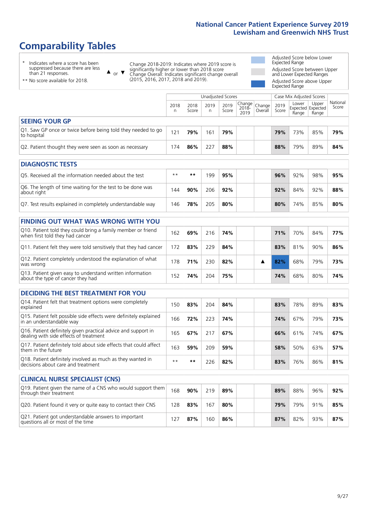# **Comparability Tables**

\* Indicates where a score has been suppressed because there are less than 21 responses.

\*\* No score available for 2018.

 $\triangle$  or  $\nabla$ 

Change 2018-2019: Indicates where 2019 score is significantly higher or lower than 2018 score Change Overall: Indicates significant change overall (2015, 2016, 2017, 2018 and 2019).

Adjusted Score below Lower Expected Range Adjusted Score between Upper and Lower Expected Ranges Adjusted Score above Upper Expected Range

|                                                                             | Case Mix Adjusted Scores<br>Unadjusted Scores |               |           |               |                                                   |         |               |                |                                     |                   |
|-----------------------------------------------------------------------------|-----------------------------------------------|---------------|-----------|---------------|---------------------------------------------------|---------|---------------|----------------|-------------------------------------|-------------------|
|                                                                             | 2018<br>n                                     | 2018<br>Score | 2019<br>n | 2019<br>Score | $\sim$  Change   Change   $\sim$<br>2018-<br>2019 | Overall | 2019<br>Score | Lower<br>Range | Upper<br>Expected Expected<br>Range | National<br>Score |
| <b>SEEING YOUR GP</b>                                                       |                                               |               |           |               |                                                   |         |               |                |                                     |                   |
| Q1. Saw GP once or twice before being told they needed to go<br>to hospital | 121                                           | 79%           | 161       | 79%           |                                                   |         | 79%           | 73%            | 85%                                 | 79%               |
| Q2. Patient thought they were seen as soon as necessary                     | 74                                            | 86%           | 227       | 88%           |                                                   |         | 88%           | 79%            | 89%                                 | 84%               |

| <b>DIAGNOSTIC TESTS</b>                                                   |      |     |     |     |  |     |     |     |     |
|---------------------------------------------------------------------------|------|-----|-----|-----|--|-----|-----|-----|-----|
| Q5. Received all the information needed about the test                    | $**$ | **  | 199 | 95% |  | 96% | 92% | 98% | 95% |
| Q6. The length of time waiting for the test to be done was<br>about right | 144  | 90% | 206 | 92% |  | 92% | 84% | 92% | 88% |
| Q7. Test results explained in completely understandable way               | 146  | 78% | 205 | 80% |  | 80% | 74% | 85% | 80% |

| <b>FINDING OUT WHAT WAS WRONG WITH YOU</b>                                                      |     |     |     |     |  |     |     |     |     |
|-------------------------------------------------------------------------------------------------|-----|-----|-----|-----|--|-----|-----|-----|-----|
| Q10. Patient told they could bring a family member or friend<br>when first told they had cancer | 162 | 69% | 216 | 74% |  | 71% | 70% | 84% | 77% |
| Q11. Patient felt they were told sensitively that they had cancer                               | 172 | 83% | 229 | 84% |  | 83% | 81% | 90% | 86% |
| Q12. Patient completely understood the explanation of what<br>was wrong                         | 178 | 71% | 230 | 82% |  | 82% | 68% | 79% | 73% |
| Q13. Patient given easy to understand written information<br>about the type of cancer they had  | 152 | 74% | 204 | 75% |  | 74% | 68% | 80% | 74% |

| <b>DECIDING THE BEST TREATMENT FOR YOU</b>                                                              |      |     |     |     |  |     |     |     |     |
|---------------------------------------------------------------------------------------------------------|------|-----|-----|-----|--|-----|-----|-----|-----|
| Q14. Patient felt that treatment options were completely<br>explained                                   | 150  | 83% | 204 | 84% |  | 83% | 78% | 89% | 83% |
| Q15. Patient felt possible side effects were definitely explained<br>in an understandable way           | 166  | 72% | 223 | 74% |  | 74% | 67% | 79% | 73% |
| Q16. Patient definitely given practical advice and support in<br>dealing with side effects of treatment | 165  | 67% | 217 | 67% |  | 66% | 61% | 74% | 67% |
| Q17. Patient definitely told about side effects that could affect<br>them in the future                 | 163  | 59% | 209 | 59% |  | 58% | 50% | 63% | 57% |
| Q18. Patient definitely involved as much as they wanted in<br>decisions about care and treatment        | $**$ | **  | 226 | 82% |  | 83% | 76% | 86% | 81% |

| <b>CLINICAL NURSE SPECIALIST (CNS)</b>                                                    |     |     |     |     |     |     |     |     |
|-------------------------------------------------------------------------------------------|-----|-----|-----|-----|-----|-----|-----|-----|
| Q19. Patient given the name of a CNS who would support them<br>through their treatment    | 168 | 90% | 219 | 89% | 89% | 88% | 96% | 92% |
| Q20. Patient found it very or quite easy to contact their CNS                             | 128 | 83% | 167 | 80% | 79% | 79% | 91% | 85% |
| Q21. Patient got understandable answers to important<br>questions all or most of the time |     | 87% | 160 | 86% | 87% | 82% | 93% | 87% |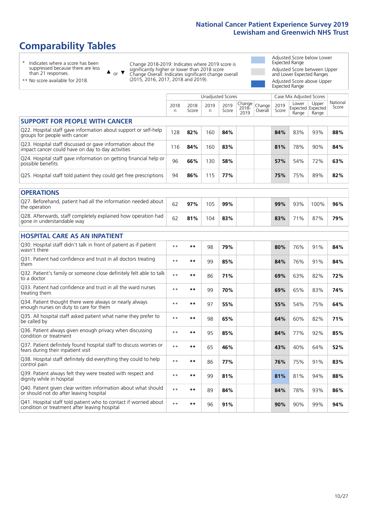# **Comparability Tables**

\* Indicates where a score has been suppressed because there are less than 21 responses.

\*\* No score available for 2018.

 $\triangle$  or  $\nabla$ 

Change 2018-2019: Indicates where 2019 score is significantly higher or lower than 2018 score Change Overall: Indicates significant change overall (2015, 2016, 2017, 2018 and 2019).

Adjusted Score below Lower Expected Range Adjusted Score between Upper and Lower Expected Ranges Adjusted Score above Upper Expected Range

|                                                                                                                   |              |               |           | <b>Unadjusted Scores</b> |                         |                   |               | Case Mix Adjusted Scores            |                |                   |
|-------------------------------------------------------------------------------------------------------------------|--------------|---------------|-----------|--------------------------|-------------------------|-------------------|---------------|-------------------------------------|----------------|-------------------|
|                                                                                                                   | 2018<br>n    | 2018<br>Score | 2019<br>n | 2019<br>Score            | Change<br>2018-<br>2019 | Change<br>Overall | 2019<br>Score | Lower<br>Expected Expected<br>Range | Upper<br>Range | National<br>Score |
| <b>SUPPORT FOR PEOPLE WITH CANCER</b>                                                                             |              |               |           |                          |                         |                   |               |                                     |                |                   |
| Q22. Hospital staff gave information about support or self-help<br>groups for people with cancer                  | 128          | 82%           | 160       | 84%                      |                         |                   | 84%           | 83%                                 | 93%            | 88%               |
| Q23. Hospital staff discussed or gave information about the<br>impact cancer could have on day to day activities  | 116          | 84%           | 160       | 83%                      |                         |                   | 81%           | 78%                                 | 90%            | 84%               |
| Q24. Hospital staff gave information on getting financial help or<br>possible benefits                            | 96           | 66%           | 130       | 58%                      |                         |                   | 57%           | 54%                                 | 72%            | 63%               |
| Q25. Hospital staff told patient they could get free prescriptions                                                | 94           | 86%           | 115       | 77%                      |                         |                   | 75%           | 75%                                 | 89%            | 82%               |
| <b>OPERATIONS</b>                                                                                                 |              |               |           |                          |                         |                   |               |                                     |                |                   |
| Q27. Beforehand, patient had all the information needed about<br>the operation                                    | 62           | 97%           | 105       | 99%                      |                         |                   | 99%           | 93%                                 | 100%           | 96%               |
| Q28. Afterwards, staff completely explained how operation had<br>gone in understandable way                       | 62           | 81%           | 104       | 83%                      |                         |                   | 83%           | 71%                                 | 87%            | 79%               |
| <b>HOSPITAL CARE AS AN INPATIENT</b>                                                                              |              |               |           |                          |                         |                   |               |                                     |                |                   |
| Q30. Hospital staff didn't talk in front of patient as if patient<br>wasn't there                                 | $\star\star$ | **            | 98        | 79%                      |                         |                   | 80%           | 76%                                 | 91%            | 84%               |
| Q31. Patient had confidence and trust in all doctors treating<br>them                                             | $\star\star$ | **            | 99        | 85%                      |                         |                   | 84%           | 76%                                 | 91%            | 84%               |
| Q32. Patient's family or someone close definitely felt able to talk<br>to a doctor                                | $**$         | **            | 86        | 71%                      |                         |                   | 69%           | 63%                                 | 82%            | 72%               |
| Q33. Patient had confidence and trust in all the ward nurses<br>treating them                                     | $**$         | **            | 99        | 70%                      |                         |                   | 69%           | 65%                                 | 83%            | 74%               |
| Q34. Patient thought there were always or nearly always<br>enough nurses on duty to care for them                 | $* *$        | **            | 97        | 55%                      |                         |                   | 55%           | 54%                                 | 75%            | 64%               |
| Q35. All hospital staff asked patient what name they prefer to<br>be called by                                    | $**$         | **            | 98        | 65%                      |                         |                   | 64%           | 60%                                 | 82%            | 71%               |
| Q36. Patient always given enough privacy when discussing<br>condition or treatment                                | $**$         | **            | 95        | 85%                      |                         |                   | 84%           | 77%                                 | 92%            | 85%               |
| Q37. Patient definitely found hospital staff to discuss worries or<br>fears during their inpatient visit          | $**$         | **            | 65        | 46%                      |                         |                   | 43%           | 40%                                 | 64%            | 52%               |
| Q38. Hospital staff definitely did everything they could to help<br>control pain                                  | $\star\star$ | $***$         | 86        | 77%                      |                         |                   | 76%           | 75%                                 | 91%            | 83%               |
| Q39. Patient always felt they were treated with respect and<br>dignity while in hospital                          | $\star\star$ | **            | 99        | 81%                      |                         |                   | 81%           | 81%                                 | 94%            | 88%               |
| Q40. Patient given clear written information about what should<br>or should not do after leaving hospital         | $**$         | **            | 89        | 84%                      |                         |                   | 84%           | 78%                                 | 93%            | 86%               |
| Q41. Hospital staff told patient who to contact if worried about<br>condition or treatment after leaving hospital | $**$         | **            | 96        | 91%                      |                         |                   | 90%           | 90%                                 | 99%            | 94%               |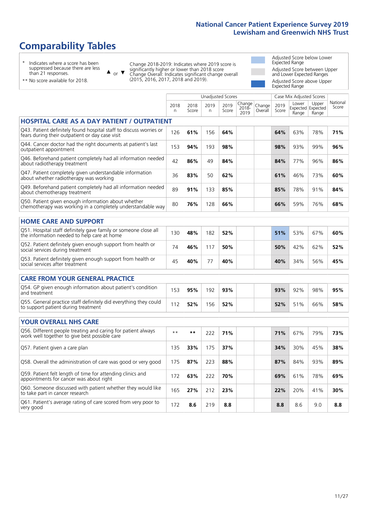# **Comparability Tables**

\* Indicates where a score has been suppressed because there are less than 21 responses.

 $\triangle$  or  $\nabla$ 

Change 2018-2019: Indicates where 2019 score is significantly higher or lower than 2018 score Change Overall: Indicates significant change overall (2015, 2016, 2017, 2018 and 2019).

 $\overline{1}$ 

Adjusted Score below Lower Expected Range Adjusted Score between Upper and Lower Expected Ranges Adjusted Score above Upper Expected Range

| man z r responses.              |  |
|---------------------------------|--|
| ** No score available for 2018. |  |

|                                                                                                                       | Unadjusted Scores |               |           |               |                            |                   | Case Mix Adjusted Scores |                |                                     |                   |
|-----------------------------------------------------------------------------------------------------------------------|-------------------|---------------|-----------|---------------|----------------------------|-------------------|--------------------------|----------------|-------------------------------------|-------------------|
|                                                                                                                       | 2018<br>n         | 2018<br>Score | 2019<br>n | 2019<br>Score | Change<br>$2018 -$<br>2019 | Change<br>Overall | 2019<br>Score            | Lower<br>Range | Upper<br>Expected Expected<br>Range | National<br>Score |
| <b>HOSPITAL CARE AS A DAY PATIENT / OUTPATIENT</b>                                                                    |                   |               |           |               |                            |                   |                          |                |                                     |                   |
| Q43. Patient definitely found hospital staff to discuss worries or<br>fears during their outpatient or day case visit | 126               | 61%           | 156       | 64%           |                            |                   | 64%                      | 63%            | 78%                                 | 71%               |
| Q44. Cancer doctor had the right documents at patient's last<br>outpatient appointment                                | 153               | 94%           | 193       | 98%           |                            |                   | 98%                      | 93%            | 99%                                 | 96%               |
| Q46. Beforehand patient completely had all information needed<br>about radiotherapy treatment                         | 42                | 86%           | 49        | 84%           |                            |                   | 84%                      | 77%            | 96%                                 | 86%               |
| Q47. Patient completely given understandable information<br>about whether radiotherapy was working                    | 36                | 83%           | 50        | 62%           |                            |                   | 61%                      | 46%            | 73%                                 | 60%               |
| Q49. Beforehand patient completely had all information needed<br>about chemotherapy treatment                         | 89                | 91%           | 133       | 85%           |                            |                   | 85%                      | 78%            | 91%                                 | 84%               |
| Q50. Patient given enough information about whether<br>chemotherapy was working in a completely understandable way    | 80                | 76%           | 128       | 66%           |                            |                   | 66%                      | 59%            | 76%                                 | 68%               |
| <b>HOME CARE AND SUPPORT</b>                                                                                          |                   |               |           |               |                            |                   |                          |                |                                     |                   |
| Q51. Hospital staff definitely gave family or someone close all<br>the information needed to help care at home        | 130               | 48%           | 182       | 52%           |                            |                   | 51%                      | 53%            | 67%                                 | 60%               |
| Q52. Patient definitely given enough support from health or<br>social services during treatment                       | 74                | 46%           | 117       | 50%           |                            |                   | 50%                      | 42%            | 62%                                 | 52%               |
| Q53. Patient definitely given enough support from health or<br>social services after treatment                        | 45                | 40%           | 77        | 40%           |                            |                   | 40%                      | 34%            | 56%                                 | 45%               |
| <b>CARE FROM YOUR GENERAL PRACTICE</b>                                                                                |                   |               |           |               |                            |                   |                          |                |                                     |                   |
| Q54. GP given enough information about patient's condition<br>and treatment                                           | 153               | 95%           | 192       | 93%           |                            |                   | 93%                      | 92%            | 98%                                 | 95%               |
| Q55. General practice staff definitely did everything they could<br>to support patient during treatment               | 112               | 52%           | 156       | 52%           |                            |                   | 52%                      | 51%            | 66%                                 | 58%               |
| <b>YOUR OVERALL NHS CARE</b>                                                                                          |                   |               |           |               |                            |                   |                          |                |                                     |                   |
| Q56. Different people treating and caring for patient always<br>work well together to give best possible care         | $\star\star$      | $***$         | 222       | 71%           |                            |                   | 71%                      | 67%            | 79%                                 | 73%               |
| Q57. Patient given a care plan                                                                                        | 135               | 33%           | 175       | 37%           |                            |                   | 34%                      | 30%            | 45%                                 | 38%               |
| Q58. Overall the administration of care was good or very good                                                         | 175               | 87%           | 223       | 88%           |                            |                   | 87%                      | 84%            | 93%                                 | 89%               |
| Q59. Patient felt length of time for attending clinics and<br>appointments for cancer was about right                 | 172               | 63%           | 222       | 70%           |                            |                   | 69%                      | 61%            | 78%                                 | 69%               |
| Q60. Someone discussed with patient whether they would like<br>to take part in cancer research                        | 165               | 27%           | 212       | 23%           |                            |                   | 22%                      | 20%            | 41%                                 | 30%               |
| Q61. Patient's average rating of care scored from very poor to<br>very good                                           | 172               | 8.6           | 219       | 8.8           |                            |                   | 8.8                      | 8.6            | 9.0                                 | 8.8               |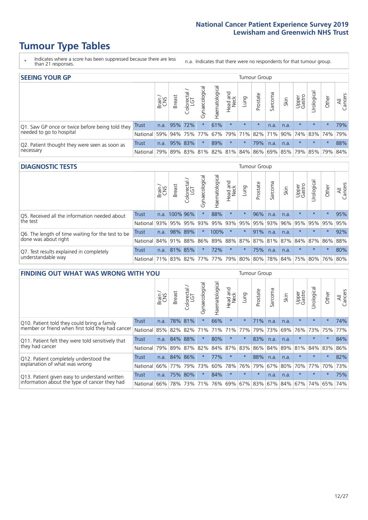- \* Indicates where a score has been suppressed because there are less than 21 responses.
- n.a. Indicates that there were no respondents for that tumour group.

| <b>SEEING YOUR GP</b>                           |          |       |                 |                 |                |                |                  |             | Tumour Group |         |      |                 |                                                     |         |                |
|-------------------------------------------------|----------|-------|-----------------|-----------------|----------------|----------------|------------------|-------------|--------------|---------|------|-----------------|-----------------------------------------------------|---------|----------------|
|                                                 |          | Brain | <b>Breast</b>   | Colorectal      | Gynaecological | Haematological | Head and<br>Neck | <b>Dung</b> | Prostate     | Sarcoma | Skin | Upper<br>Gastro | Urological                                          | Other   | All<br>Cancers |
| Q1. Saw GP once or twice before being told they | Trust    |       | n.a. $95\%$ 72% |                 |                | 61%            | $\star$          | $\star$     | $\star$      | n.a.    | n.a. | $\star$         | $\star$                                             | $\star$ | 79%            |
| needed to go to hospital                        | National |       |                 | 59% 94% 75% 77% |                |                |                  |             |              |         |      |                 | 67%   79%   71%   82%   71%   90%   74%   83%   74% |         | 79%            |
| Q2. Patient thought they were seen as soon as   | Trust    | n.a.  |                 | 95% 83%         | $\star$        | 89%            | $\star$          | $\star$     | 79%          | n.a.    | n.a. | $\star$         | $\star$                                             | $\star$ | 88%            |
| necessary                                       | National | 79%   |                 |                 |                |                |                  |             |              |         |      |                 | 89% 83% 81% 82% 81% 84% 86% 69% 85% 79% 85% 79%     |         | 84%            |

#### **DIAGNOSTIC TESTS** Tumour Group

|                                                   |                                          | Brain | <b>Breast</b> | Colorectal<br>LGT | ᅙ<br>Gynaecologic | Haematological  | Head and<br>Neck | Lung    | Prostate | Sarcoma | Skin | Upper<br>Gastro | rological                                   | Other   | All<br>Cancers |
|---------------------------------------------------|------------------------------------------|-------|---------------|-------------------|-------------------|-----------------|------------------|---------|----------|---------|------|-----------------|---------------------------------------------|---------|----------------|
| Q5. Received all the information needed about     | <b>Trust</b>                             | n.a.  | 100% 96%      |                   | $\star$           | 88%             | $\star$          | $\star$ | 96%      | n.a.    | n.a. | $\star$         | $\star$                                     | $\star$ | 95%            |
| the test                                          | National                                 | 93%   |               | 95% 95%           |                   | 93% 95% 93% 95% |                  |         | 95%      | 93%     | 96%  | 95%             | 95%                                         | 95%     | 95%            |
| Q6. The length of time waiting for the test to be | Trust                                    | n.a.  | 98%           | 89%               | $\star$           | 100%            | $\star$          | $\star$ | 91%      | n.a.    | n.a. | $\star$         | $\star$                                     | $\star$ | 92%            |
| done was about right                              | <b>National</b>                          |       | 84% 91% 88%   |                   |                   |                 |                  |         |          |         |      |                 | 86% 89% 88% 87% 87% 81% 87% 84% 87% 86% 88% |         |                |
| Q7. Test results explained in completely          | Trust                                    | n.a.  | 81% 85%       |                   | $\star$           | 72%             | $\star$          | $\star$ | 75%      | n.a.    | n.a. | $\star$         | $\star$                                     | $\star$ | 80%            |
| understandable way                                | National 71% 83% 82% 77% 77% 79% 80% 80% |       |               |                   |                   |                 |                  |         |          |         |      |                 | 78% 84% 75% 80% 76% 80%                     |         |                |

| <b>FINDING OUT WHAT WAS WRONG WITH YOU</b>        |              |       |               |                            |                |                |                        |             | <b>Tumour Group</b> |         |         |                 |           |         |                |
|---------------------------------------------------|--------------|-------|---------------|----------------------------|----------------|----------------|------------------------|-------------|---------------------|---------|---------|-----------------|-----------|---------|----------------|
|                                                   |              | Brain | <b>Breast</b> | olorectal<br>LGT<br>$\cup$ | Gynaecological | Haematological | ad and<br>Neck<br>Head | Lung        | Prostate            | Sarcoma | Skin    | Upper<br>Gastro | Jrologica | Other   | All<br>Cancers |
| Q10. Patient told they could bring a family       | <b>Trust</b> | n.a.  | 78%           | 81%                        | $\star$        | 66%            | $\star$                | $\star$     | 71%                 | n.a.    | n.a.    | $\star$         | $\star$   | $\star$ | 74%            |
| member or friend when first told they had cancer  | National     | 85%   | 82%           | 82%                        | 71%            | 71%            | 71%                    | 77%         | 79%                 | 73%     | 69%     | 76%             | 73%       | 75%     | 77%            |
| Q11. Patient felt they were told sensitively that | Trust        | n.a.  | 84%           | 88%                        | $\star$        | 80%            | $\star$                | $\star$     | 83%                 | n.a.    | n.a.    | $\star$         | $\star$   | $\star$ | 84%            |
| they had cancer                                   | National     | 79%   | 89%           | 87%                        | 82%            |                | 84% 87%                | 83%         | 86%                 | 84%     | 89%     | 81%             | 84% 83%   |         | 86%            |
| Q12. Patient completely understood the            | Trust        | n.a.  |               | 84% 86%                    |                | 77%            | $\star$                | $\star$     | 88%                 | n.a.    | n.a.    | $\star$         | $\star$   | $\ast$  | 82%            |
| explanation of what was wrong                     | National     | 66%   | 77%           | 79%                        | 73%            | 60%            | 78%                    | 76%         | 79%                 | 67%     | 80%     | 70%             | 77%       | 70%     | 73%            |
| Q13. Patient given easy to understand written     | Trust        | n.a.  | 75%           | 80%                        | $\star$        | 84%            | $\ast$                 | $\star$     | $\star$             | n.a.    | n.a.    | $\star$         | $\star$   | $\ast$  | 75%            |
| information about the type of cancer they had     | National     | 66%   |               | 78% 73%                    | 71%            | 76%            |                        | 69% 67% 83% |                     |         | 67% 84% | 67%             | 74%       | 65%     | 74%            |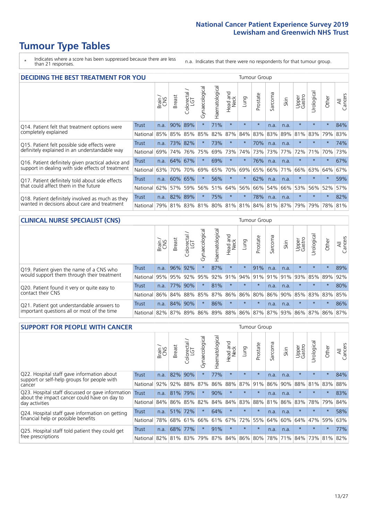\* Indicates where a score has been suppressed because there are less than 21 responses.

n.a. Indicates that there were no respondents for that tumour group.

| <b>DECIDING THE BEST TREATMENT FOR YOU</b>                    |          |       |        |                        |                |                |                        |             | Tumour Group |                                     |      |                 |            |         |                |
|---------------------------------------------------------------|----------|-------|--------|------------------------|----------------|----------------|------------------------|-------------|--------------|-------------------------------------|------|-----------------|------------|---------|----------------|
|                                                               |          | Brain | Breast | blorectal.<br>LGT<br>Ũ | Gynaecological | Haematological | ad and<br>Neck<br>Head | <b>Fung</b> | Prostate     | Sarcoma                             | Skin | Upper<br>Gastro | Jrological | Other   | All<br>Cancers |
| <b>Trust</b><br>Q14. Patient felt that treatment options were |          | n.a.  | 90%    | 89%                    | $\star$        | 71%            | $\star$                | $\star$     | $\star$      | n.a.                                | n.a. | $\star$         | $\star$    | $\star$ | 84%            |
| completely explained                                          | National | 85%   | 85%    | 85%                    | 85%            | 82%            | 87%                    | 84%         | 83%          | 83%                                 | 89%  | 81%             | 83%        | 79%     | 83%            |
| Q15. Patient felt possible side effects were                  | Trust    | n.a.  | 73%    | 82%                    | $\star$        | 73%            | $\star$                | $\star$     | 70%          | n.a.                                | n.a. | $\star$         | $\star$    | $\star$ | 74%            |
| definitely explained in an understandable way                 | National | 69%   | 74%    | 76%                    | 75%            | 69%            | 73%                    | 74%         | 73%          | 73%                                 | 77%  | 72%             | 71%        | 70%     | 73%            |
| Q16. Patient definitely given practical advice and            | Trust    | n.a.  | 64%    | 67%                    | $\star$        | 69%            | $\star$                | $\star$     | 76%          | n.a.                                | n.a. | $\star$         | $\star$    | $\star$ | 67%            |
| support in dealing with side effects of treatment             | National | 63%   | 70%    | 70%                    | 69%            | 65%            | 70%                    | 69%         | 65%          | 66%                                 | 71%  | 66%             | 63%        | 64%     | 67%            |
| Q17. Patient definitely told about side effects               | Trust    | n.a.  | 60%    | 65%                    | $\star$        | 56%            | $\star$                | $\star$     | 62%          | n.a.                                | n.a. | $\star$         | $\star$    | $\star$ | 59%            |
| that could affect them in the future                          | National | 62%   | 57%    | 59%                    | 56%            | 51%            | 64%                    | 56%         | 66%          | 54%                                 | 66%  | 53%             | 56%        | 52%     | 57%            |
| Q18. Patient definitely involved as much as they              | Trust    | n.a.  | 82%    | 89%                    | $\star$        | 75%            | $\star$                | $\star$     | 78%          | n.a.                                | n.a. | $\star$         | $\star$    | $\star$ | 82%            |
| wanted in decisions about care and treatment                  | National | 79%   |        |                        |                |                |                        |             |              | 81% 83% 81% 80% 81% 81% 84% 81% 87% |      | 79%             | 79%        | 78% 81% |                |

#### **CLINICAL NURSE SPECIALIST (CNS)** Tumour Group

|                                             |              | Brain | <b>Breast</b>   | Colorectal<br>LGT | Gynaecologica | శా<br>aematologi | Head and<br>Neck | Lung    | Prostate | Sarcoma | Skin    | Upper<br>Gastro                                 | σ<br>rologica | Other   | All<br>Cancers |
|---------------------------------------------|--------------|-------|-----------------|-------------------|---------------|------------------|------------------|---------|----------|---------|---------|-------------------------------------------------|---------------|---------|----------------|
| Q19. Patient given the name of a CNS who    | <b>Trust</b> | n.a.  |                 | 96% 92%           |               | 87%              | $\star$          |         | 91%      | n.a.    | n.a.    | $\star$                                         | $\star$       | $\star$ | 89%            |
| would support them through their treatment  | National     | 95%   | 95%             | 92%               | 95%           | 92%              | 91%              |         | 94% 91%  |         | 91% 91% | 93%                                             | 85%           | 89%     | 92%            |
| Q20. Patient found it very or quite easy to | Trust        | n.a.  | 77%             | 90%               |               | 81%              | $\star$          | $\star$ | $\star$  | n.a.    | n.a.    |                                                 | $\star$       | $\star$ | 80%            |
| contact their CNS                           | National     |       | 86% 84% 88% 85% |                   |               | 87%              | 86%              | 86% 80% |          |         |         | 86% 90% 85%                                     |               | 83% 83% | 85%            |
| Q21. Patient got understandable answers to  | Trust        | n.a.  | 84% 90%         |                   |               | 86%              | $\star$          | $\star$ | $\star$  | n.a.    | n.a.    | $\star$                                         | $\star$       | $\ast$  | 86%            |
| important questions all or most of the time | National     |       |                 |                   |               |                  |                  |         |          |         |         | 82% 87% 89% 86% 89% 88% 86% 87% 87% 93% 86% 87% |               | 86%     | 87%            |

| <b>SUPPORT FOR PEOPLE WITH CANCER</b>                                                             |              |      |               |            |                |                |                         |         | <b>Tumour Group</b> |         |      |                 |            |         |                |
|---------------------------------------------------------------------------------------------------|--------------|------|---------------|------------|----------------|----------------|-------------------------|---------|---------------------|---------|------|-----------------|------------|---------|----------------|
| Q22. Hospital staff gave information about<br>Trust                                               |              |      | <b>Breast</b> | Colorectal | Gynaecological | Haematological | ead and<br>Neck<br>Head | Lung    | Prostate            | Sarcoma | Skin | Upper<br>Gastro | Jrological | Other   | All<br>Cancers |
| support or self-help groups for people with                                                       |              | n.a. | 82%           | 90%        | $\star$        | 77%            | $\star$                 | $\star$ | $\star$             | n.a.    | n.a. | $\star$         | $\star$    | $\star$ | 84%            |
| cancer                                                                                            | National     | 92%  | 92%           | 88%        | 87%            | 86%            | 88%                     | 87%     | 91%                 | 86%     | 90%  | 88%             | 81%        | 83%     | 88%            |
| Q23. Hospital staff discussed or gave information<br>about the impact cancer could have on day to | <b>Trust</b> | n.a. | 81%           | 79%        | $\star$        | 90%            | $\star$                 | $\star$ | $\star$             | n.a.    | n.a. | $\star$         | $\star$    | $\star$ | 83%            |
| day activities                                                                                    | National     | 84%  | 86%           | 85%        | 82%            | 84%            | 84%                     | 83%     | 88%                 | 81%     | 86%  | 83%             | 78%        | 79%     | 84%            |
| Q24. Hospital staff gave information on getting                                                   | Trust        | n.a. | 51%           | 72%        | $\star$        | 64%            | $\star$                 | $\star$ | $\star$             | n.a.    | n.a. | $\star$         | $\star$    | $\ast$  | 58%            |
| financial help or possible benefits                                                               | National     | 78%  |               | 68% 61%    | 66%            | 61%            | 67%                     | 72%     | 55%                 | 64%     | 60%  | 64%             | 47%        | 59%     | 63%            |
| Q25. Hospital staff told patient they could get                                                   | Trust        | n.a. | 68%           | 177%       |                | 91%            | $\star$                 | $\star$ | $\star$             | n.a.    | n.a. | $\star$         | $\star$    | $\ast$  | 77%            |
| free prescriptions                                                                                | National I   | 82%  |               | 81% 83%    | 79%            |                | 87% 84% 86% 80%         |         |                     | 78%     | 71%  | 84%             | 73%        | 81%     | 82%            |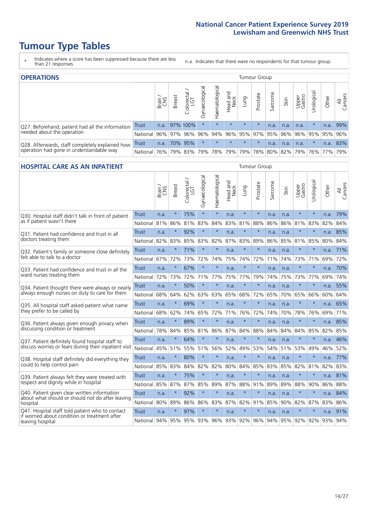- \* Indicates where a score has been suppressed because there are less than 21 responses.
- n.a. Indicates that there were no respondents for that tumour group.

| <b>OPERATIONS</b><br>Tumour Group                                                           |              |       |               |                   |                |                |                  |                                         |          |         |                 |                 |            |       |                |
|---------------------------------------------------------------------------------------------|--------------|-------|---------------|-------------------|----------------|----------------|------------------|-----------------------------------------|----------|---------|-----------------|-----------------|------------|-------|----------------|
|                                                                                             |              | Brain | <b>Breast</b> | Colorectal<br>LGT | Gynaecological | Haematological | Head and<br>Neck | <b>Lung</b>                             | Prostate | Sarcoma | Skin            | Upper<br>Gastro | Urological | Other | All<br>Cancers |
| Q27. Beforehand, patient had all the information                                            | <b>Trust</b> | n.a.  |               | 97% 100%          | $\star$        | $\star$        | $\star$          | $\star$                                 | $\star$  | n.a.    | n.a.            | n.a.            |            | n.a.  | 99%            |
| needed about the operation                                                                  | National     | 96%   |               | 97% 96%           |                |                |                  | 96% 94% 96% 95% 97%                     |          |         | 95% 96% 96% 95% |                 |            | 95%   | 96%            |
| Q28. Afterwards, staff completely explained how<br>operation had gone in understandable way | <b>Trust</b> | n.a.  |               | 70% 95%           | $\star$        | $\star$        | $\star$          | $\star$                                 | $\star$  | n.a.    | n.a.            | n.a.            | $\star$    | n.a.  | 83%            |
|                                                                                             | National I   | 76% l |               | 79% 83%           |                |                |                  | 79% 78% 79% 79% 78% 80% 82% 79% 76% 77% |          |         |                 |                 |            |       | 79%            |

#### **HOSPITAL CARE AS AN INPATIENT** Tumour Group

|                                                                                                   |              | Brain | Breast  | $\overline{\phantom{0}}$<br>Colorectal /<br>LGT | Gynaecological | Haematological | Head and<br>Neck | Lung    | Prostate | Sarcoma | Skin | Upper<br>Gastro | Urological  | Other   | All<br>Cancers |
|---------------------------------------------------------------------------------------------------|--------------|-------|---------|-------------------------------------------------|----------------|----------------|------------------|---------|----------|---------|------|-----------------|-------------|---------|----------------|
| Q30. Hospital staff didn't talk in front of patient                                               | <b>Trust</b> | n.a.  | $\star$ | 75%                                             | $\star$        | $\star$        | n.a.             | $\star$ | $\star$  | n.a.    | n.a. | $\star$         | $\star$     | n.a.    | 79%            |
| as if patient wasn't there                                                                        | National     | 81%   | 86%     | 81%                                             | 83%            | 84%            | 83%              | 81%     | 88%      | 86%     | 86%  | 81%             | 83%         | 82%     | 84%            |
| Q31. Patient had confidence and trust in all                                                      | <b>Trust</b> | n.a.  | $\star$ | 92%                                             | $\star$        | $\star$        | n.a.             | $\star$ | $\star$  | n.a.    | n.a. |                 | $\star$     | n.a.    | 85%            |
| doctors treating them                                                                             | National     | 82%   | 83%     | 85%                                             | 83%            | 82%            |                  | 87% 83% | 89%      | 86%     | 85%  | 81% 85%         |             | 80%     | 84%            |
| Q32. Patient's family or someone close definitely<br>felt able to talk to a doctor                | <b>Trust</b> | n.a.  | $\star$ | 71%                                             |                | $\star$        | n.a.             | $\star$ | $\star$  | n.a.    | n.a. |                 | $\star$     | n.a.    | 71%            |
|                                                                                                   | National     | 67%   | 72%     | 73%                                             | 72%            | 74%            | 75%              | 74%     | 72%      | 71%     | 74%  |                 | 73% 71%     | 69%     | 72%            |
| Q33. Patient had confidence and trust in all the                                                  | <b>Trust</b> | n.a.  | $\star$ | 67%                                             | $\star$        | $\star$        | n.a.             | $\star$ | $\star$  | n.a.    | n.a. | $\star$         | $\star$     | n.a.    | 70%            |
| ward nurses treating them                                                                         | National     | 72%   | 73%     | 72%                                             |                | 71% 77%        | 75%              | 77%     | 79%      | 74%     | 75%  |                 | 73% 77%     | 69%     | 74%            |
| Q34. Patient thought there were always or nearly<br>always enough nurses on duty to care for them | <b>Trust</b> | n.a.  | $\star$ | 50%                                             | $\star$        | $\star$        | n.a.             | $\star$ | $\star$  | n.a.    | n.a. | $\star$         | $\star$     | n.a.    | 55%            |
|                                                                                                   | National     | 68%   | 64%     | 62%                                             | 63%            | 63%            | 65%              | 68%     | 72%      | 65%     | 70%  | 65%             | 66%         | 60%     | 64%            |
| Q35. All hospital staff asked patient what name                                                   | Trust        | n.a.  | $\star$ | 69%                                             | $\star$        | $\star$        | n.a.             | $\star$ | $\star$  | n.a.    | n.a. |                 | $\star$     | n.a.    | 65%            |
| they prefer to be called by                                                                       | National     | 68%   | 62%     | 74%                                             | 65%            | 72%            | 71%              | 76%     | 72%      | 74%     | 70%  | 78%             | 76%         | 69%     | 71%            |
| Q36. Patient always given enough privacy when                                                     | Trust        | n.a.  | $\star$ | 89%                                             | $\star$        | $\star$        | n.a.             | $\star$ | $\star$  | n.a.    | n.a. | $\star$         | $\star$     | n.a.    | 85%            |
| discussing condition or treatment                                                                 | National     | 78%   | 84%     | 85%                                             | 81%            | 86%            |                  | 87% 84% | 88%      | 84%     | 84%  | 84%             | 85%         | 82%     | 85%            |
| Q37. Patient definitely found hospital staff to                                                   | <b>Trust</b> | n.a.  | $\star$ | 64%                                             | $\star$        | $\star$        | n.a.             | $\star$ | $\star$  | n.a.    | n.a. |                 | $\star$     | n.a.    | 46%            |
| discuss worries or fears during their inpatient visit                                             | National     | 45%   | 51%     | 55%                                             |                | 51% 56%        | 52%              | 49%     | 53%      | 54%     | 51%  |                 | 53% 49%     | 46%     | 52%            |
| Q38. Hospital staff definitely did everything they                                                | Trust        | n.a.  | $\star$ | 80%                                             | $\star$        | $\star$        | n.a.             | $\star$ | $\star$  | n.a.    | n.a. | $\star$         | $\star$     | n.a.    | 77%            |
| could to help control pain                                                                        | National     | 85%   | 83%     | 84%                                             | 82%            | 82%            | 80%              | 84%     | 85%      | 83%     | 85%  | 82%             | 81%         | 82%     | 83%            |
| Q39. Patient always felt they were treated with                                                   | Trust        | n.a.  | $\star$ | 75%                                             | $\star$        | $\star$        | n.a.             | $\star$ | $\star$  | n.a.    | n.a. |                 | $\star$     | n.a.    | 81%            |
| respect and dignity while in hospital                                                             | National     | 85%   | 87%     | 87%                                             | 85%            | 89%            | 87%              | 88%     | 91%      | 89%     | 89%  | 88%             | 90%         | 86%     | 88%            |
| Q40. Patient given clear written information<br>about what should or should not do after leaving  | <b>Trust</b> | n.a.  | $\star$ | 92%                                             | $\star$        | $\star$        | n.a.             | $\star$ | $\star$  | n.a.    | n.a. |                 | $\star$     | n.a.    | 84%            |
| hospital                                                                                          | National     | 80%   | 89%     | 86%                                             | 86%            | 83%            |                  | 87% 82% | 91%      | 85%     | 90%  |                 | 82% 87%     | 83%     | 86%            |
| Q41. Hospital staff told patient who to contact<br>if worried about condition or treatment after  | <b>Trust</b> | n.a.  | $\star$ | 97%                                             | $\star$        | $\star$        | n.a.             | $\star$ | $\star$  | n.a.    | n.a. | $\star$         | $\star$     | n.a.    | 91%            |
| leaving hospital                                                                                  | National     | 94%   | 95%     |                                                 |                | 95% 93% 96%    |                  | 93% 92% | 96%      | 94%     |      |                 | 95% 92% 92% | 93% 94% |                |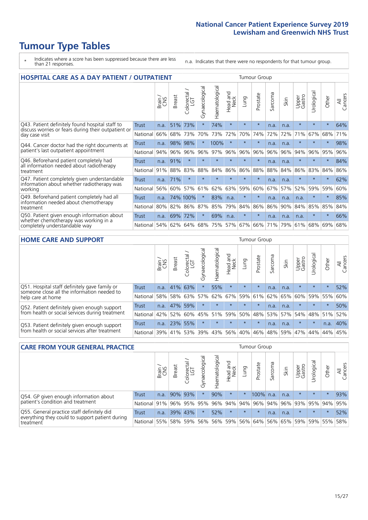# **Tumour Type Tables**

- \* Indicates where a score has been suppressed because there are less than 21 responses.
- n.a. Indicates that there were no respondents for that tumour group.

| <b>HOSPITAL CARE AS A DAY PATIENT / OUTPATIENT</b>                                                                       | <b>Tumour Group</b> |       |               |                              |                |                |                         |         |          |         |      |                 |            |         |                |
|--------------------------------------------------------------------------------------------------------------------------|---------------------|-------|---------------|------------------------------|----------------|----------------|-------------------------|---------|----------|---------|------|-----------------|------------|---------|----------------|
|                                                                                                                          |                     | Brain | <b>Breast</b> | olorectal /<br>LGT<br>$\cup$ | Gynaecological | Haematological | ead and<br>Neck<br>Head | Lung    | Prostate | Sarcoma | Skin | Upper<br>Gastro | Urological | Other   | All<br>Cancers |
| Q43. Patient definitely found hospital staff to<br>discuss worries or fears during their outpatient or<br>day case visit | <b>Trust</b>        | n.a.  | 51%           | 73%                          | $\star$        | 74%            | $\star$                 | $\star$ | $\star$  | n.a.    | n.a. | $\star$         | $\star$    | $\star$ | 64%            |
|                                                                                                                          | National            | 66%   | 68%           | 73%                          | 70%            | 73%            | 72%                     | 70%     | 74%      | 72%     | 72%  | 71%             | 67%        | 68%     | 71%            |
| Q44. Cancer doctor had the right documents at<br>patient's last outpatient appointment                                   | Trust               | n.a.  | 98%           | 98%                          | $\star$        | 100%           | $\star$                 | $\star$ | $\star$  | n.a.    | n.a. |                 | $\star$    | $\ast$  | 98%            |
|                                                                                                                          | National            | 94%   | 96%           | 96%                          | 96%            | 97%            | 96%                     | 96%     | 96%      | 96%     | 96%  | 94%             | 96%        | 95%     | 96%            |
| Q46. Beforehand patient completely had                                                                                   | Trust               | n.a.  | 91%           | $\star$                      | $\star$        | $\star$        | $\star$                 | $\star$ | $\star$  | n.a.    | n.a. | $\star$         | $\star$    | $\star$ | 84%            |
| all information needed about radiotherapy<br>treatment                                                                   | National            | 91%   | 88%           | 83%                          | 88%            | 84%            | 86%                     | 86%     | 88%      | 88%     | 84%  | 86%             | 83%        | 84%     | 86%            |
| Q47. Patient completely given understandable                                                                             | Trust               | n.a.  | 71%           | $\star$                      |                |                | $\star$                 | $\star$ | $\star$  | n.a.    | n.a. | $\star$         | $\star$    | $\star$ | 62%            |
| information about whether radiotherapy was<br>working                                                                    | National            | 56%   | 60%           | 57%                          | 61%            | 62%            | 63%                     | 59%     | 60%      | 67%     | 57%  | 52%             | 59%        | 59%     | 60%            |
| Q49. Beforehand patient completely had all                                                                               | <b>Trust</b>        | n.a.  |               | 74% 100%                     | $\star$        | 83%            | n.a.                    | $\star$ | $\star$  | n.a.    | n.a. | n.a.            | $\star$    | $\ast$  | 85%            |
| information needed about chemotherapy<br>treatment                                                                       | National            | 80%   | 82%           | 86%                          | 87%            | 85%            | 79%                     | 84%     | 86%      | 86%     | 90%  | 84%             | 85%        | 85%     | 84%            |
| Q50. Patient given enough information about<br>whether chemotherapy was working in a<br>completely understandable way    | <b>Trust</b>        | n.a.  | 69%           | 72%                          | $\star$        | 69%            | n.a.                    | $\star$ | $\star$  | n.a.    | n.a. | n.a.            | $\star$    | $\star$ | 66%            |
|                                                                                                                          | National            | 54%   | 62%           | 64%                          | 68%            | 75%            | 57%                     | 67%     | 66%      | 71%     | 79%  | 61%             | 68%        | 69%     | 68%            |

### **HOME CARE AND SUPPORT** Tumour Group

|                                                                                                                   |              | Brain | <b>Breast</b> | Colorectal<br>LGT | ᢛ<br>Gynaecologic | Haematological | Head and<br>Neck | <b>Dung</b> | Prostate | Sarcoma | Skin    | Upper<br>Gastro | rologica | Other   | All<br>Cancers |
|-------------------------------------------------------------------------------------------------------------------|--------------|-------|---------------|-------------------|-------------------|----------------|------------------|-------------|----------|---------|---------|-----------------|----------|---------|----------------|
| Q51. Hospital staff definitely gave family or<br>someone close all the information needed to<br>help care at home | <b>Trust</b> | n.a.  | 41% 63%       |                   |                   | 55%            | $\star$          | $\star$     | $\star$  | n.a.    | n.a.    | $\star$         | $\star$  | $\star$ | 52%            |
|                                                                                                                   | National     | 58%   |               | 58% 63%           | 57%               | 62%            |                  | 67% 59% 61% |          |         | 62% 65% | 60%             | 59% 55%  |         | 60%            |
| Q52. Patient definitely given enough support<br>from health or social services during treatment                   | Trust        | n.a.  | 47% 59%       |                   | $\star$           | $\star$        | $\star$          | $\star$     | $\star$  | n.a.    | n.a.    | $\star$         | $\star$  | $\star$ | 50%            |
|                                                                                                                   | National     | 42%   | 52%           | 60%               |                   | 45% 51%        | 59%              | 50%         | 48%      |         | 53% 57% | 54%             | 48% 51%  |         | 52%            |
| Q53. Patient definitely given enough support<br>from health or social services after treatment                    | Trust        | n.a.  |               | 23% 55%           | $\star$           | $\star$        | $\star$          | $\star$     | $\star$  | n.a.    | n.a.    | $\star$         | $\star$  | n.a.    | 40%            |
|                                                                                                                   | National     | 39%   | 41% 53%       |                   | 39%               | $ 43\% $       | 56%              | 40%         | 46%      | 48%     | 59%     | 47%             | 44%      | 44%     | 45%            |

| <b>CARE FROM YOUR GENERAL PRACTICE</b>                                                                     |              |       |               |                   |                |                   | Tumour Group     |         |                             |         |      |                 |           |         |                |
|------------------------------------------------------------------------------------------------------------|--------------|-------|---------------|-------------------|----------------|-------------------|------------------|---------|-----------------------------|---------|------|-----------------|-----------|---------|----------------|
|                                                                                                            |              | Brain | <b>Breast</b> | Colorectal<br>LGT | Gynaecological | ᅙ<br>Haematologic | Head and<br>Neck | Lung    | Prostate                    | Sarcoma | Skin | Upper<br>Gastro | Urologica | Other   | All<br>Cancers |
| Q54. GP given enough information about                                                                     | Trust        | n.a.  |               | 90% 93%           | $\star$        | 90%               | $\star$          | $\star$ | 100%                        | n.a.    | n.a. | $\star$         | $\star$   | $\star$ | 93%            |
| patient's condition and treatment                                                                          | National 91% |       |               | 96% 95%           | 95%            |                   |                  |         | 96% 94% 94% 96% 94% 96%     |         |      | 93% 95% 94% 95% |           |         |                |
| Q55. General practice staff definitely did<br>everything they could to support patient during<br>treatment | Trust        | n.a.  |               | 39% 43%           | $\star$        | 52%               | $\star$          | $\star$ | $\star$                     | n.a.    | n.a. | $\star$         | $\star$   | $\star$ | 52%            |
|                                                                                                            | National     | 55%   |               | 58% 59%           | 56%            |                   | 56% 59%          |         | 56% 64% 56% 65% 59% 59% 55% |         |      |                 |           |         | 58%            |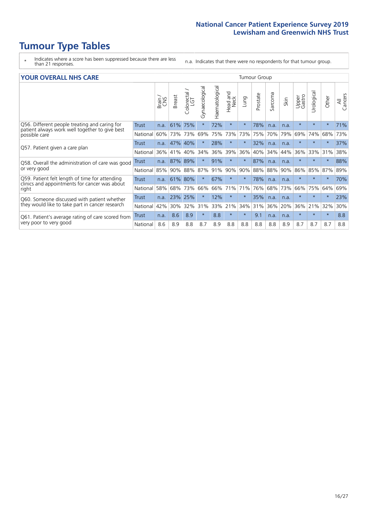- \* Indicates where a score has been suppressed because there are less than 21 responses.
- n.a. Indicates that there were no respondents for that tumour group.

### **YOUR OVERALL NHS CARE** THE TWO CONTROLLER THE THE THROUP CHANGE THE TUMOUR GROUP

|                                                                                                 |              | Brain<br>CNS | <b>Breast</b> | Colorectal<br>LGT | Gynaecological | Haematological | ad and<br>Neck<br>Head | Lung    | Prostate | Sarcoma | Skin | Upper<br>Gastro | Urological | Other   | All<br>Cancers |
|-------------------------------------------------------------------------------------------------|--------------|--------------|---------------|-------------------|----------------|----------------|------------------------|---------|----------|---------|------|-----------------|------------|---------|----------------|
| Q56. Different people treating and caring for                                                   | <b>Trust</b> | n.a.         | 61%           | 75%               |                | 72%            | $\star$                | $\star$ | 78%      | n.a.    | n.a. | $\star$         |            | $\ast$  | 71%            |
| patient always work well together to give best<br>possible care                                 | National     | 60%          | 73%           | 73%               | 69%            | 75%            | 73%                    | 73%     | 75%      | 70%     | 79%  | 69%             | 74%        | 68%     | 73%            |
| Q57. Patient given a care plan                                                                  | <b>Trust</b> | n.a.         | 47%           | 40%               |                | 28%            | $\star$                | $\star$ | 32%      | n.a.    | n.a. | $\star$         | $\star$    | $\ast$  | 37%            |
|                                                                                                 | National     | 36%          | 41%           | 40%               | 34%            | 36%            | 39%                    | 36%     | 40%      | 34%     | 44%  | 36%             | 33%        | 31%     | 38%            |
| Q58. Overall the administration of care was good                                                | <b>Trust</b> | n.a.         | 87%           | 89%               |                | 91%            | $\star$                | $\star$ | 87%      | n.a.    | n.a. |                 |            |         | 88%            |
| or very good                                                                                    | National     | 85%          | 90%           | 88%               | 87%            | 91%            | 90%                    | 90%     | 88%      | 88%     | 90%  | 86%             | 85%        | 87%     | 89%            |
| Q59. Patient felt length of time for attending<br>clinics and appointments for cancer was about | <b>Trust</b> | n.a.         | 61%           | 80%               |                | 67%            | $\star$                | $\star$ | 78%      | n.a.    | n.a. | $\star$         | $\star$    | $\ast$  | 70%            |
| right                                                                                           | National     | 58%          | 68%           | 73%               | 66%            | 66%            | 71%                    | 71%     | 76%      | 68%     | 73%  | 66%             | 75%        | 64%     | 69%            |
| Q60. Someone discussed with patient whether                                                     | <b>Trust</b> | n.a.         | 23%           | 25%               |                | 12%            | $\ast$                 | $\star$ | 35%      | n.a.    | n.a. | $\star$         |            | $\star$ | 23%            |
| they would like to take part in cancer research                                                 | National     | 42%          | 30%           | 32%               | 31%            |                | 33% 21%                | 34%     | 31%      | 36%     | 20%  | 36%             | 21%        | 32%     | 30%            |
| Q61. Patient's average rating of care scored from<br>very poor to very good                     | <b>Trust</b> | n.a.         | 8.6           | 8.9               | $\star$        | 8.8            | $\star$                | $\star$ | 9.1      | n.a.    | n.a. | $\star$         | $\star$    | $\ast$  | 8.8            |
|                                                                                                 | National     | 8.6          | 8.9           | 8.8               | 8.7            | 8.9            | 8.8                    | 8.8     | 8.8      | 8.8     | 8.9  | 8.7             | 8.7        | 8.7     | 8.8            |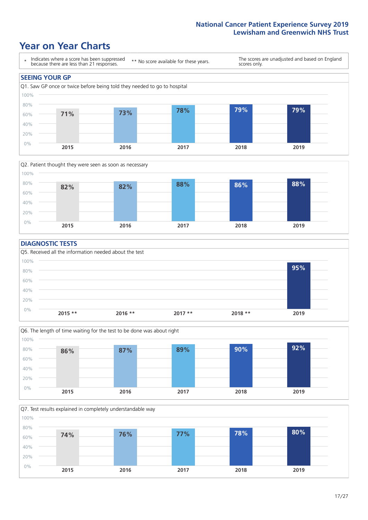### **Year on Year Charts**





### **DIAGNOSTIC TESTS**





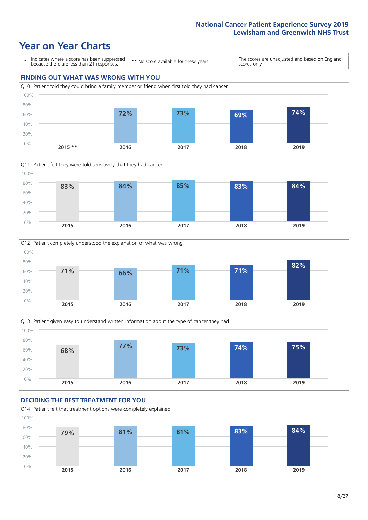## **Year on Year Charts**









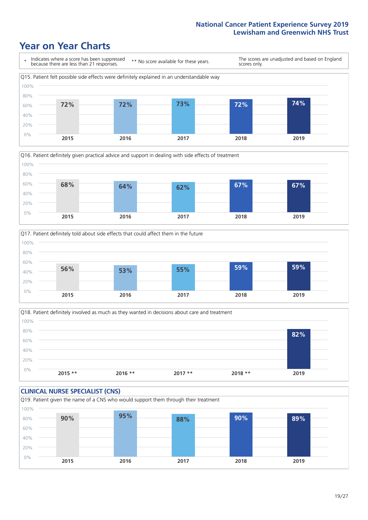### **Year on Year Charts**







Q18. Patient definitely involved as much as they wanted in decisions about care and treatment  $0%$ 20% 40% 60% 80% 100% **2015 \*\* 2016 \*\* 2017 \*\* 2018 \*\* 2019 82%**

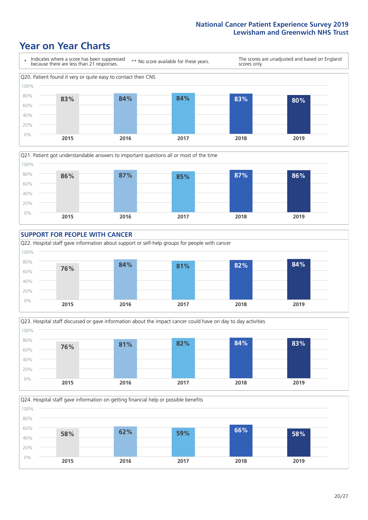### **Year on Year Charts**











Q24. Hospital staff gave information on getting financial help or possible benefits 0% 20% 40% 60% 80% 100% **2015 2016 2017 2018 2019 58% 62% 59% 66% 58%**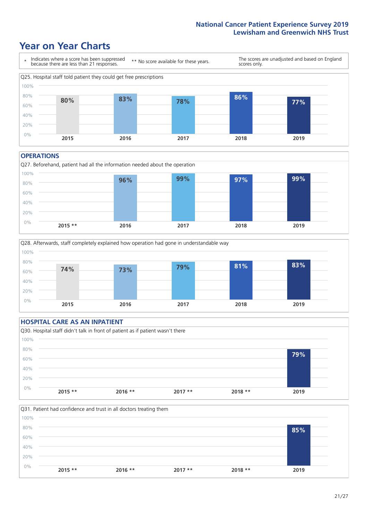### **Year on Year Charts**



#### **OPERATIONS**





### **HOSPITAL CARE AS AN INPATIENT** Q30. Hospital staff didn't talk in front of patient as if patient wasn't there 0% 20% 40% 60% 80% 100% **2015 \*\* 2016 \*\* 2017 \*\* 2018 \*\* 2019 79%**

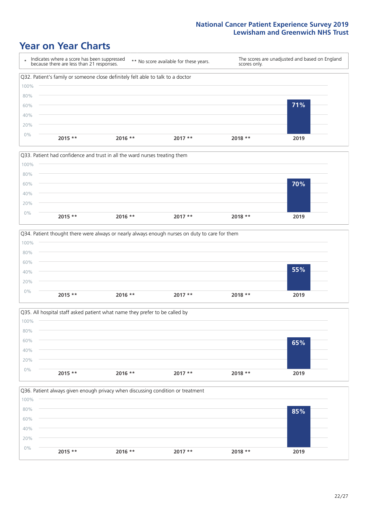### **Year on Year Charts**









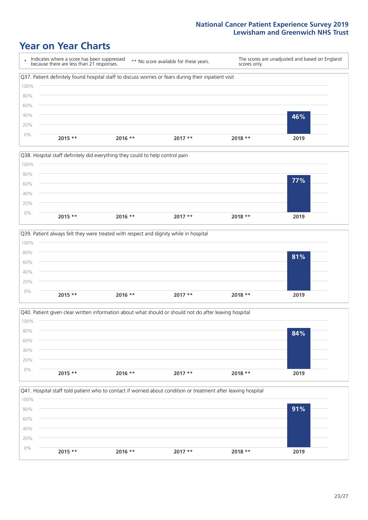### **Year on Year Charts**









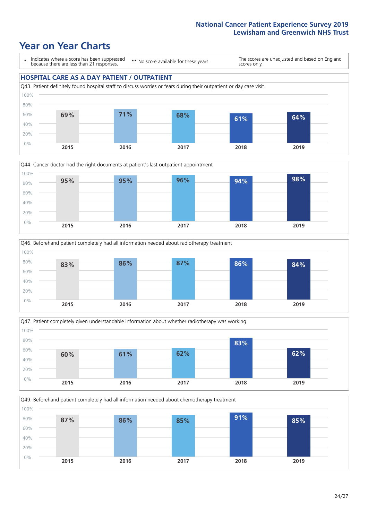### **Year on Year Charts**

\* Indicates where a score has been suppressed because there are less than 21 responses.

\*\* No score available for these years.

The scores are unadjusted and based on England scores only.

### **HOSPITAL CARE AS A DAY PATIENT / OUTPATIENT**









Q49. Beforehand patient completely had all information needed about chemotherapy treatment 0% 20% 40% 60% 80% 100% **2015 2016 2017 2018 2019 87% 86% 85% 91% 85%**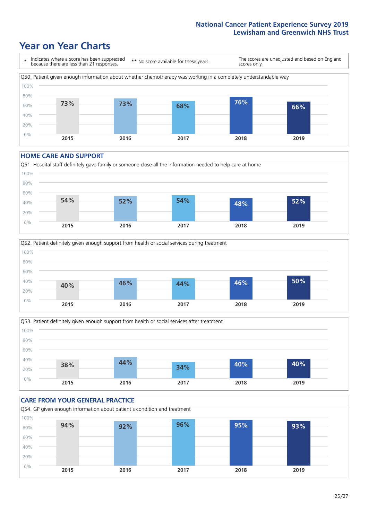### **Year on Year Charts**



#### **HOME CARE AND SUPPORT**







### **CARE FROM YOUR GENERAL PRACTICE** Q54. GP given enough information about patient's condition and treatment 0% 20% 40% 60% 80% 100% **2015 2016 2017 2018 2019 94% 92% 96% 95% 93%**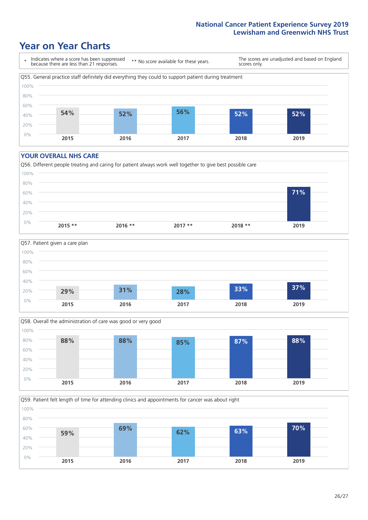### **Year on Year Charts**



#### **YOUR OVERALL NHS CARE**







Q59. Patient felt length of time for attending clinics and appointments for cancer was about right